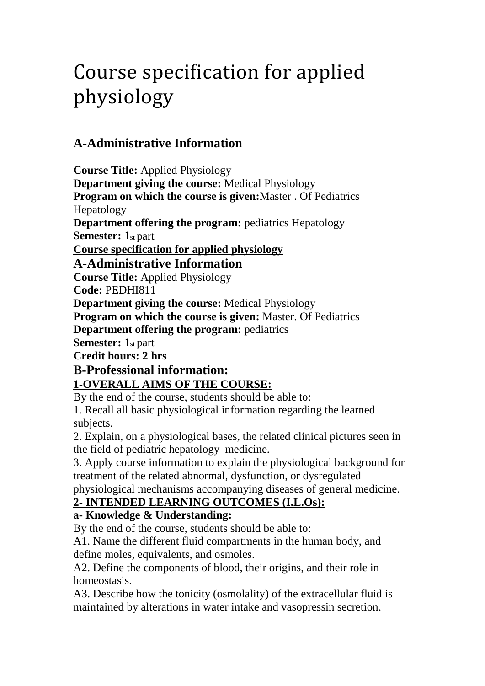# Course specification for applied physiology

# **A-Administrative Information**

**Course Title:** Applied Physiology **Department giving the course:** Medical Physiology **Program on which the course is given:**Master . Of Pediatrics Hepatology **Department offering the program:** pediatrics Hepatology **Semester:** 1st part **Course specification for applied physiology A-Administrative Information Course Title:** Applied Physiology **Code:** PEDHI811 **Department giving the course:** Medical Physiology **Program on which the course is given:** Master. Of Pediatrics **Department offering the program:** pediatrics **Semester:** 1st part **Credit hours: 2 hrs B-Professional information:**

### **1-OVERALL AIMS OF THE COURSE:**

By the end of the course, students should be able to:

1. Recall all basic physiological information regarding the learned subjects.

2. Explain, on a physiological bases, the related clinical pictures seen in the field of pediatric hepatology medicine.

3. Apply course information to explain the physiological background for treatment of the related abnormal, dysfunction, or dysregulated physiological mechanisms accompanying diseases of general medicine.

### **2- INTENDED LEARNING OUTCOMES (I.L.Os):**

### **a- Knowledge & Understanding:**

By the end of the course, students should be able to:

A1. Name the different fluid compartments in the human body, and define moles, equivalents, and osmoles.

A2. Define the components of blood, their origins, and their role in homeostasis.

A3. Describe how the tonicity (osmolality) of the extracellular fluid is maintained by alterations in water intake and vasopressin secretion.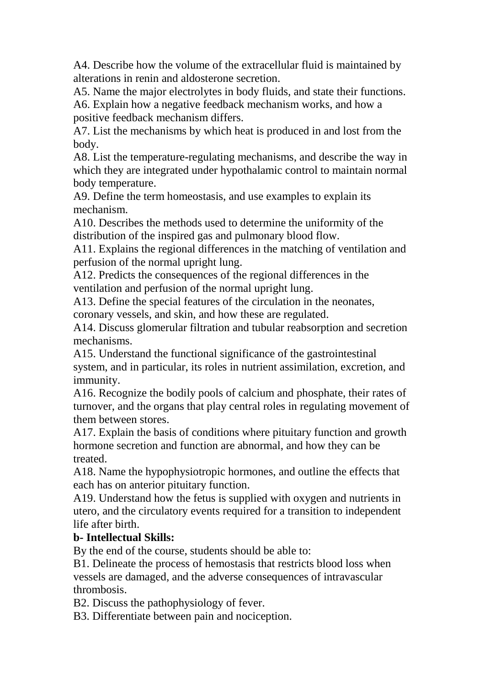A4. Describe how the volume of the extracellular fluid is maintained by alterations in renin and aldosterone secretion.

A5. Name the major electrolytes in body fluids, and state their functions. A6. Explain how a negative feedback mechanism works, and how a positive feedback mechanism differs.

A7. List the mechanisms by which heat is produced in and lost from the body.

A8. List the temperature-regulating mechanisms, and describe the way in which they are integrated under hypothalamic control to maintain normal body temperature.

A9. Define the term homeostasis, and use examples to explain its mechanism.

A10. Describes the methods used to determine the uniformity of the distribution of the inspired gas and pulmonary blood flow.

A11. Explains the regional differences in the matching of ventilation and perfusion of the normal upright lung.

A12. Predicts the consequences of the regional differences in the ventilation and perfusion of the normal upright lung.

A13. Define the special features of the circulation in the neonates,

coronary vessels, and skin, and how these are regulated.

A14. Discuss glomerular filtration and tubular reabsorption and secretion mechanisms.

A15. Understand the functional significance of the gastrointestinal system, and in particular, its roles in nutrient assimilation, excretion, and immunity.

A16. Recognize the bodily pools of calcium and phosphate, their rates of turnover, and the organs that play central roles in regulating movement of them between stores.

A17. Explain the basis of conditions where pituitary function and growth hormone secretion and function are abnormal, and how they can be treated.

A18. Name the hypophysiotropic hormones, and outline the effects that each has on anterior pituitary function.

A19. Understand how the fetus is supplied with oxygen and nutrients in utero, and the circulatory events required for a transition to independent life after birth

#### **b- Intellectual Skills:**

By the end of the course, students should be able to:

B1. Delineate the process of hemostasis that restricts blood loss when vessels are damaged, and the adverse consequences of intravascular thrombosis.

B2. Discuss the pathophysiology of fever.

B3. Differentiate between pain and nociception.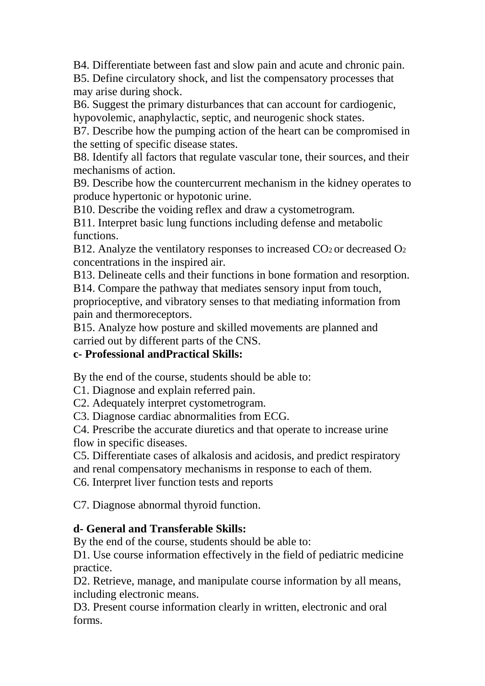B4. Differentiate between fast and slow pain and acute and chronic pain.

B5. Define circulatory shock, and list the compensatory processes that may arise during shock.

B6. Suggest the primary disturbances that can account for cardiogenic, hypovolemic, anaphylactic, septic, and neurogenic shock states.

B7. Describe how the pumping action of the heart can be compromised in the setting of specific disease states.

B8. Identify all factors that regulate vascular tone, their sources, and their mechanisms of action.

B9. Describe how the countercurrent mechanism in the kidney operates to produce hypertonic or hypotonic urine.

B10. Describe the voiding reflex and draw a cystometrogram.

B11. Interpret basic lung functions including defense and metabolic functions.

B12. Analyze the ventilatory responses to increased  $CO<sub>2</sub>$  or decreased  $O<sub>2</sub>$ concentrations in the inspired air.

B13. Delineate cells and their functions in bone formation and resorption. B14. Compare the pathway that mediates sensory input from touch,

proprioceptive, and vibratory senses to that mediating information from pain and thermoreceptors.

B15. Analyze how posture and skilled movements are planned and carried out by different parts of the CNS.

### **c- Professional andPractical Skills:**

By the end of the course, students should be able to:

C1. Diagnose and explain referred pain.

C2. Adequately interpret cystometrogram.

C3. Diagnose cardiac abnormalities from ECG.

C4. Prescribe the accurate diuretics and that operate to increase urine flow in specific diseases.

C5. Differentiate cases of alkalosis and acidosis, and predict respiratory

and renal compensatory mechanisms in response to each of them.

C6. Interpret liver function tests and reports

C7. Diagnose abnormal thyroid function.

#### **d- General and Transferable Skills:**

By the end of the course, students should be able to:

D1. Use course information effectively in the field of pediatric medicine practice.

D2. Retrieve, manage, and manipulate course information by all means, including electronic means.

D3. Present course information clearly in written, electronic and oral forms.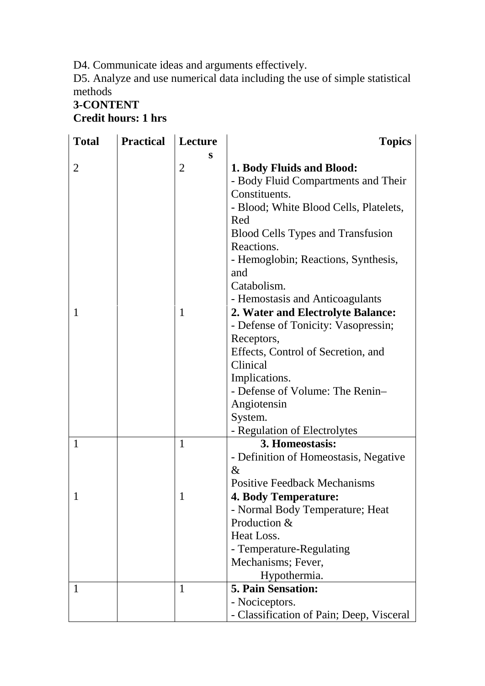D4. Communicate ideas and arguments effectively.

D5. Analyze and use numerical data including the use of simple statistical methods

### **3-CONTENT Credit hours: 1 hrs**

| <b>Total</b>   | <b>Practical</b> | Lecture        | <b>Topics</b>                                          |
|----------------|------------------|----------------|--------------------------------------------------------|
|                |                  | S              |                                                        |
| $\overline{2}$ |                  | $\overline{2}$ | 1. Body Fluids and Blood:                              |
|                |                  |                | - Body Fluid Compartments and Their                    |
|                |                  |                | Constituents.                                          |
|                |                  |                | - Blood; White Blood Cells, Platelets,                 |
|                |                  |                | Red                                                    |
|                |                  |                | <b>Blood Cells Types and Transfusion</b><br>Reactions. |
|                |                  |                | - Hemoglobin; Reactions, Synthesis,                    |
|                |                  |                | and                                                    |
|                |                  |                | Catabolism.                                            |
|                |                  |                | - Hemostasis and Anticoagulants                        |
| 1              |                  | 1              | 2. Water and Electrolyte Balance:                      |
|                |                  |                | - Defense of Tonicity: Vasopressin;                    |
|                |                  |                | Receptors,                                             |
|                |                  |                | Effects, Control of Secretion, and                     |
|                |                  |                | Clinical                                               |
|                |                  |                | Implications.                                          |
|                |                  |                | - Defense of Volume: The Renin-                        |
|                |                  |                | Angiotensin                                            |
|                |                  |                | System.                                                |
|                |                  |                | - Regulation of Electrolytes                           |
| 1              |                  | 1              | 3. Homeostasis:                                        |
|                |                  |                | - Definition of Homeostasis, Negative                  |
|                |                  |                | $\&$                                                   |
|                |                  |                | <b>Positive Feedback Mechanisms</b>                    |
|                |                  |                | <b>4. Body Temperature:</b>                            |
|                |                  |                | - Normal Body Temperature; Heat<br>Production &        |
|                |                  |                | Heat Loss.                                             |
|                |                  |                | - Temperature-Regulating                               |
|                |                  |                | Mechanisms; Fever,                                     |
|                |                  |                | Hypothermia.                                           |
| 1              |                  | $\mathbf{1}$   | <b>5. Pain Sensation:</b>                              |
|                |                  |                | - Nociceptors.                                         |
|                |                  |                | - Classification of Pain; Deep, Visceral               |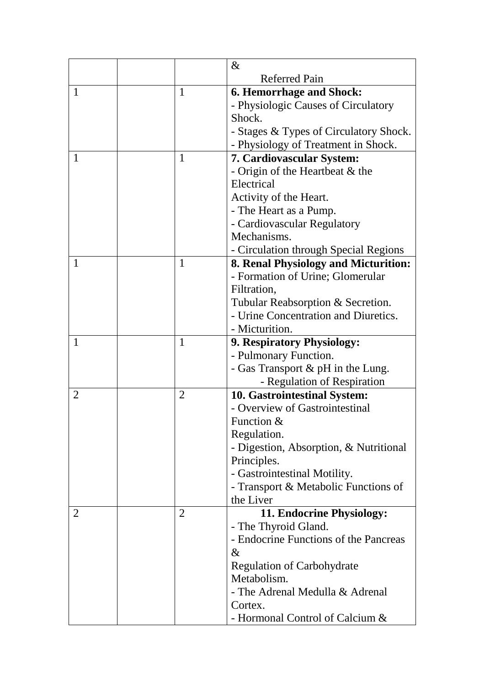|   |                | $\&$                                                                                                                              |
|---|----------------|-----------------------------------------------------------------------------------------------------------------------------------|
|   |                | <b>Referred Pain</b>                                                                                                              |
| 1 | 1              | <b>6. Hemorrhage and Shock:</b>                                                                                                   |
|   |                | - Physiologic Causes of Circulatory                                                                                               |
|   |                | Shock.                                                                                                                            |
|   |                | - Stages & Types of Circulatory Shock.                                                                                            |
|   |                | - Physiology of Treatment in Shock.                                                                                               |
| 1 | 1              | 7. Cardiovascular System:                                                                                                         |
|   |                | - Origin of the Heartbeat & the                                                                                                   |
|   |                | Electrical                                                                                                                        |
|   |                | Activity of the Heart.                                                                                                            |
|   |                | - The Heart as a Pump.                                                                                                            |
|   |                | - Cardiovascular Regulatory                                                                                                       |
|   |                | Mechanisms.                                                                                                                       |
|   |                | - Circulation through Special Regions                                                                                             |
| 1 | $\mathbf{1}$   | 8. Renal Physiology and Micturition:                                                                                              |
|   |                | - Formation of Urine; Glomerular                                                                                                  |
|   |                | Filtration,                                                                                                                       |
|   |                | Tubular Reabsorption & Secretion.                                                                                                 |
|   |                | - Urine Concentration and Diuretics.                                                                                              |
|   |                | - Micturition.                                                                                                                    |
| 1 | $\mathbf{1}$   | 9. Respiratory Physiology:                                                                                                        |
|   |                | - Pulmonary Function.                                                                                                             |
|   |                | - Gas Transport & pH in the Lung.                                                                                                 |
|   |                | - Regulation of Respiration                                                                                                       |
| 2 | $\overline{2}$ | 10. Gastrointestinal System:                                                                                                      |
|   |                | - Overview of Gastrointestinal                                                                                                    |
|   |                | Function $&$                                                                                                                      |
|   |                | Regulation.                                                                                                                       |
|   |                | - Digestion, Absorption, & Nutritional                                                                                            |
|   |                | Principles.                                                                                                                       |
|   |                | - Gastrointestinal Motility.                                                                                                      |
|   |                | - Transport & Metabolic Functions of                                                                                              |
|   |                | the Liver                                                                                                                         |
| 2 | $\overline{2}$ | 11. Endocrine Physiology:                                                                                                         |
|   |                | - The Thyroid Gland.                                                                                                              |
|   |                | - Endocrine Functions of the Pancreas                                                                                             |
|   |                | $\&$                                                                                                                              |
|   |                |                                                                                                                                   |
|   |                |                                                                                                                                   |
|   |                |                                                                                                                                   |
|   |                |                                                                                                                                   |
|   |                | <b>Regulation of Carbohydrate</b><br>Metabolism.<br>- The Adrenal Medulla & Adrenal<br>Cortex.<br>- Hormonal Control of Calcium & |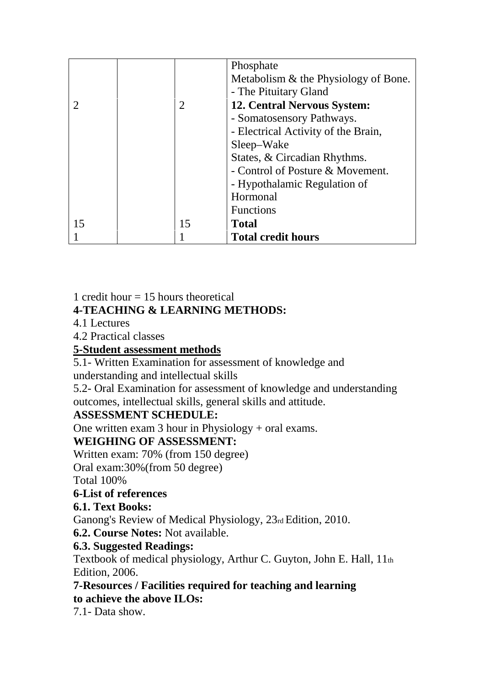|    | 2  | Phosphate<br>Metabolism & the Physiology of Bone.<br>- The Pituitary Gland<br><b>12. Central Nervous System:</b><br>- Somatosensory Pathways.<br>- Electrical Activity of the Brain,<br>Sleep–Wake<br>States, & Circadian Rhythms.<br>- Control of Posture & Movement.<br>- Hypothalamic Regulation of<br>Hormonal<br><b>Functions</b> |
|----|----|----------------------------------------------------------------------------------------------------------------------------------------------------------------------------------------------------------------------------------------------------------------------------------------------------------------------------------------|
| 15 | 15 | <b>Total</b>                                                                                                                                                                                                                                                                                                                           |
|    |    | <b>Total credit hours</b>                                                                                                                                                                                                                                                                                                              |

1 credit hour  $= 15$  hours theoretical

## **4-TEACHING & LEARNING METHODS:**

4.1 Lectures

4.2 Practical classes

### **5-Student assessment methods**

5.1- Written Examination for assessment of knowledge and understanding and intellectual skills

5.2- Oral Examination for assessment of knowledge and understanding outcomes, intellectual skills, general skills and attitude.

### **ASSESSMENT SCHEDULE:**

One written exam 3 hour in Physiology + oral exams.

# **WEIGHING OF ASSESSMENT:**

Written exam: 70% (from 150 degree)

Oral exam:30%(from 50 degree)

Total 100%

### **6-List of references**

#### **6.1. Text Books:**

Ganong's Review of Medical Physiology, 23rd Edition, 2010.

**6.2. Course Notes:** Not available.

### **6.3. Suggested Readings:**

Textbook of medical physiology, Arthur C. Guyton, John E. Hall, 11th Edition, 2006.

**7-Resources / Facilities required for teaching and learning to achieve the above ILOs:**

7.1- Data show.